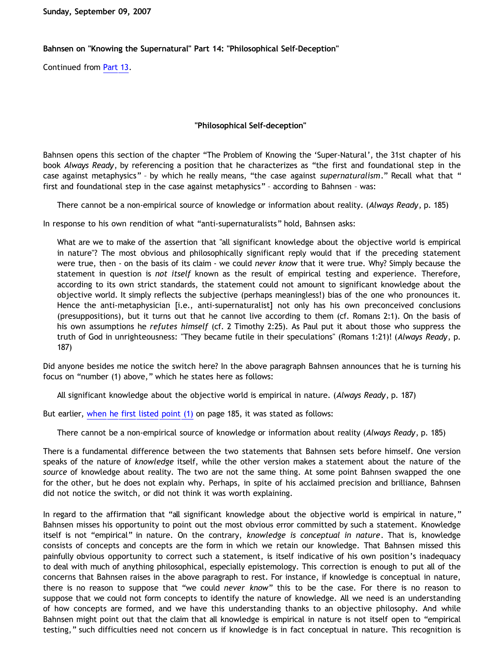**Sunday, September 09, 2007**

## **Bahnsen on "Knowing the Supernatural" Part 14: "Philosophical Self-Deception"**

Continued from [Part 13.](http://bahnsenburner.blogspot.com/2007/09/bahnsen-on-knowing-supernatural-part-13.html)

## **"Philosophical Self-deception"**

Bahnsen opens this section of the chapter "The Problem of Knowing the 'Super-Natural', the 31st chapter of his book *Always Ready*, by referencing a position that he characterizes as "the first and foundational step in the case against metaphysics" – by which he really means, "the case against *supernaturalism*." Recall what that " first and foundational step in the case against metaphysics" – according to Bahnsen – was:

There cannot be a non-empirical source of knowledge or information about reality. (*Always Ready*, p. 185)

In response to his own rendition of what "anti-supernaturalists" hold, Bahnsen asks:

What are we to make of the assertion that "all significant knowledge about the objective world is empirical in nature"? The most obvious and philosophically significant reply would that if the preceding statement were true, then - on the basis of its claim - we could *never know* that it were true. Why? Simply because the statement in question is *not itself* known as the result of empirical testing and experience. Therefore, according to its own strict standards, the statement could not amount to significant knowledge about the objective world. It simply reflects the subjective (perhaps meaningless!) bias of the one who pronounces it. Hence the anti-metaphysician [i.e., anti-supernaturalist] not only has his own preconceived conclusions (presuppositions), but it turns out that he cannot live according to them (cf. Romans 2:1). On the basis of his own assumptions he *refutes himself* (cf. 2 Timothy 2:25). As Paul put it about those who suppress the truth of God in unrighteousness: "They became futile in their speculations" (Romans 1:21)! (*Always Ready*, p. 187)

Did anyone besides me notice the switch here? In the above paragraph Bahnsen announces that he is turning his focus on "number (1) above," which he states here as follows:

All significant knowledge about the objective world is empirical in nature. (*Always Ready*, p. 187)

But earlier, [when he first listed point \(1\)](http://bahnsenburner.blogspot.com/2007/09/bahnsen-on-knowing-supernatural-part-12.html) on page 185, it was stated as follows:

There cannot be a non-empirical source of knowledge or information about reality (*Always Ready*, p. 185)

There is a fundamental difference between the two statements that Bahnsen sets before himself. One version speaks of the nature of *knowledge* itself, while the other version makes a statement about the nature of the *source* of knowledge about reality. The two are not the same thing. At some point Bahnsen swapped the one for the other, but he does not explain why. Perhaps, in spite of his acclaimed precision and brilliance, Bahnsen did not notice the switch, or did not think it was worth explaining.

In regard to the affirmation that "all significant knowledge about the objective world is empirical in nature," Bahnsen misses his opportunity to point out the most obvious error committed by such a statement. Knowledge itself is not "empirical" in nature. On the contrary, *knowledge is conceptual in nature*. That is, knowledge consists of concepts and concepts are the form in which we retain our knowledge. That Bahnsen missed this painfully obvious opportunity to correct such a statement, is itself indicative of his own position's inadequacy to deal with much of anything philosophical, especially epistemology. This correction is enough to put all of the concerns that Bahnsen raises in the above paragraph to rest. For instance, if knowledge is conceptual in nature, there is no reason to suppose that "we could *never know*" this to be the case. For there is no reason to suppose that we could not form concepts to identify the nature of knowledge. All we need is an understanding of how concepts are formed, and we have this understanding thanks to an objective philosophy. And while Bahnsen might point out that the claim that all knowledge is empirical in nature is not itself open to "empirical testing," such difficulties need not concern us if knowledge is in fact conceptual in nature. This recognition is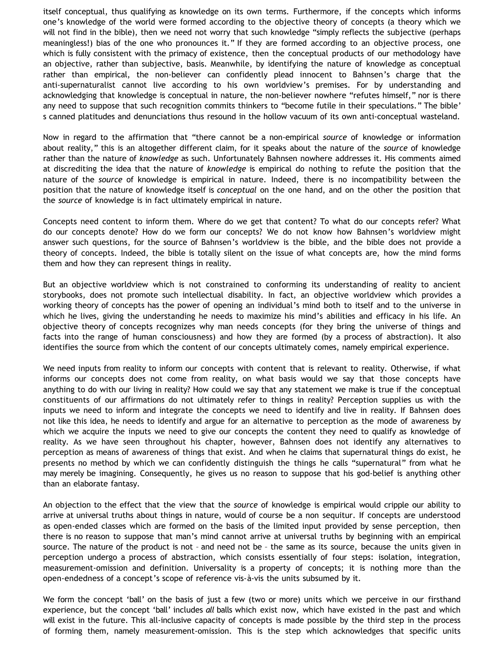itself conceptual, thus qualifying as knowledge on its own terms. Furthermore, if the concepts which informs one's knowledge of the world were formed according to the objective theory of concepts (a theory which we will not find in the bible), then we need not worry that such knowledge "simply reflects the subjective (perhaps meaningless!) bias of the one who pronounces it." If they are formed according to an objective process, one which is fully consistent with the primacy of existence, then the conceptual products of our methodology have an objective, rather than subjective, basis. Meanwhile, by identifying the nature of knowledge as conceptual rather than empirical, the non-believer can confidently plead innocent to Bahnsen's charge that the anti-supernaturalist cannot live according to his own worldview's premises. For by understanding and acknowledging that knowledge is conceptual in nature, the non-believer nowhere "refutes himself," nor is there any need to suppose that such recognition commits thinkers to "become futile in their speculations." The bible' s canned platitudes and denunciations thus resound in the hollow vacuum of its own anti-conceptual wasteland.

Now in regard to the affirmation that "there cannot be a non-empirical *source* of knowledge or information about reality," this is an altogether different claim, for it speaks about the nature of the *source* of knowledge rather than the nature of *knowledge* as such. Unfortunately Bahnsen nowhere addresses it. His comments aimed at discrediting the idea that the nature of *knowledge* is empirical do nothing to refute the position that the nature of the *source* of knowledge is empirical in nature. Indeed, there is no incompatibility between the position that the nature of knowledge itself is *conceptual* on the one hand, and on the other the position that the *source* of knowledge is in fact ultimately empirical in nature.

Concepts need content to inform them. Where do we get that content? To what do our concepts refer? What do our concepts denote? How do we form our concepts? We do not know how Bahnsen's worldview might answer such questions, for the source of Bahnsen's worldview is the bible, and the bible does not provide a theory of concepts. Indeed, the bible is totally silent on the issue of what concepts are, how the mind forms them and how they can represent things in reality.

But an objective worldview which is not constrained to conforming its understanding of reality to ancient storybooks, does not promote such intellectual disability. In fact, an objective worldview which provides a working theory of concepts has the power of opening an individual's mind both to itself and to the universe in which he lives, giving the understanding he needs to maximize his mind's abilities and efficacy in his life. An objective theory of concepts recognizes why man needs concepts (for they bring the universe of things and facts into the range of human consciousness) and how they are formed (by a process of abstraction). It also identifies the source from which the content of our concepts ultimately comes, namely empirical experience.

We need inputs from reality to inform our concepts with content that is relevant to reality. Otherwise, if what informs our concepts does not come from reality, on what basis would we say that those concepts have anything to do with our living in reality? How could we say that any statement we make is true if the conceptual constituents of our affirmations do not ultimately refer to things in reality? Perception supplies us with the inputs we need to inform and integrate the concepts we need to identify and live in reality. If Bahnsen does not like this idea, he needs to identify and argue for an alternative to perception as the mode of awareness by which we acquire the inputs we need to give our concepts the content they need to qualify as knowledge of reality. As we have seen throughout his chapter, however, Bahnsen does not identify any alternatives to perception as means of awareness of things that exist. And when he claims that supernatural things do exist, he presents no method by which we can confidently distinguish the things he calls "supernatural" from what he may merely be imagining. Consequently, he gives us no reason to suppose that his god-belief is anything other than an elaborate fantasy.

An objection to the effect that the view that the *source* of knowledge is empirical would cripple our ability to arrive at universal truths about things in nature, would of course be a non sequitur. If concepts are understood as open-ended classes which are formed on the basis of the limited input provided by sense perception, then there is no reason to suppose that man's mind cannot arrive at universal truths by beginning with an empirical source. The nature of the product is not – and need not be – the same as its source, because the units given in perception undergo a process of abstraction, which consists essentially of four steps: isolation, integration, measurement-omission and definition. Universality is a property of concepts; it is nothing more than the open-endedness of a concept's scope of reference vis-à-vis the units subsumed by it.

We form the concept 'ball' on the basis of just a few (two or more) units which we perceive in our firsthand experience, but the concept 'ball' includes *all* balls which exist now, which have existed in the past and which will exist in the future. This all-inclusive capacity of concepts is made possible by the third step in the process of forming them, namely measurement-omission. This is the step which acknowledges that specific units